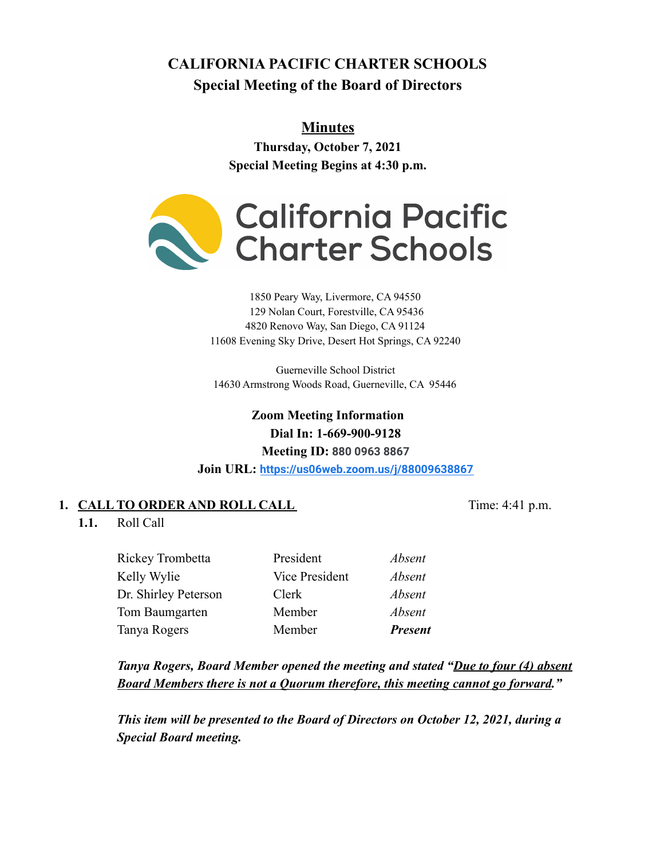# **CALIFORNIA PACIFIC CHARTER SCHOOLS Special Meeting of the Board of Directors**

# **Minutes**

**Thursday, October 7, 2021 Special Meeting Begins at 4:30 p.m.**



#### 1850 Peary Way, Livermore, CA 94550 129 Nolan Court, Forestville, CA 95436 4820 Renovo Way, San Diego, CA 91124 11608 Evening Sky Drive, Desert Hot Springs, CA 92240

Guerneville School District 14630 Armstrong Woods Road, Guerneville, CA 95446

> **Zoom Meeting Information Dial In: 1-669-900-9128 Meeting ID: 880 0963 8867**

**Join URL: <https://us06web.zoom.us/j/88009638867>**

## **1. CALL TO ORDER AND ROLL CALL** Time: 4:41 p.m.

**1.1.** Roll Call

Rickey Trombetta President *Absent* Kelly Wylie **Vice President** *Absent* Dr. Shirley Peterson Clerk *Absent* Tom Baumgarten Member *Absent* Tanya Rogers Member *Present*

*Tanya Rogers, Board Member opened the meeting and stated "Due to four (4) absent Board Members there is not a Quorum therefore, this meeting cannot go forward."*

*This item will be presented to the Board of Directors on October 12, 2021, during a Special Board meeting.*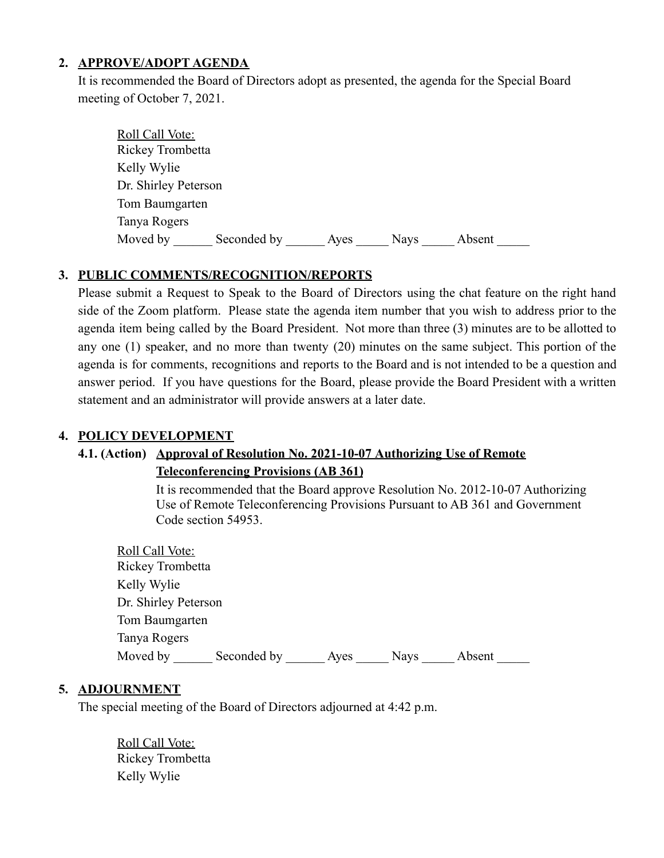#### **2. APPROVE/ADOPT AGENDA**

It is recommended the Board of Directors adopt as presented, the agenda for the Special Board meeting of October 7, 2021.

| Roll Call Vote:      |             |      |             |        |
|----------------------|-------------|------|-------------|--------|
| Rickey Trombetta     |             |      |             |        |
| Kelly Wylie          |             |      |             |        |
| Dr. Shirley Peterson |             |      |             |        |
| Tom Baumgarten       |             |      |             |        |
| Tanya Rogers         |             |      |             |        |
| Moved by             | Seconded by | Ayes | <b>Nays</b> | Absent |

#### **3. PUBLIC COMMENTS/RECOGNITION/REPORTS**

Please submit a Request to Speak to the Board of Directors using the chat feature on the right hand side of the Zoom platform. Please state the agenda item number that you wish to address prior to the agenda item being called by the Board President. Not more than three (3) minutes are to be allotted to any one (1) speaker, and no more than twenty (20) minutes on the same subject. This portion of the agenda is for comments, recognitions and reports to the Board and is not intended to be a question and answer period. If you have questions for the Board, please provide the Board President with a written statement and an administrator will provide answers at a later date.

#### **4. POLICY DEVELOPMENT**

### **4.1. (Action) Approval of Resolution No. 2021-10-07 Authorizing Use of Remote Teleconferencing Provisions (AB 361)**

It is recommended that the Board approve Resolution No. 2012-10-07 Authorizing Use of Remote Teleconferencing Provisions Pursuant to AB 361 and Government Code section 54953.

| <b>Roll Call Vote:</b> |             |      |             |        |  |
|------------------------|-------------|------|-------------|--------|--|
| Rickey Trombetta       |             |      |             |        |  |
| Kelly Wylie            |             |      |             |        |  |
| Dr. Shirley Peterson   |             |      |             |        |  |
| Tom Baumgarten         |             |      |             |        |  |
| Tanya Rogers           |             |      |             |        |  |
| Moved by               | Seconded by | Ayes | <b>Nays</b> | Absent |  |

#### **5. ADJOURNMENT**

The special meeting of the Board of Directors adjourned at 4:42 p.m.

Roll Call Vote: Rickey Trombetta Kelly Wylie